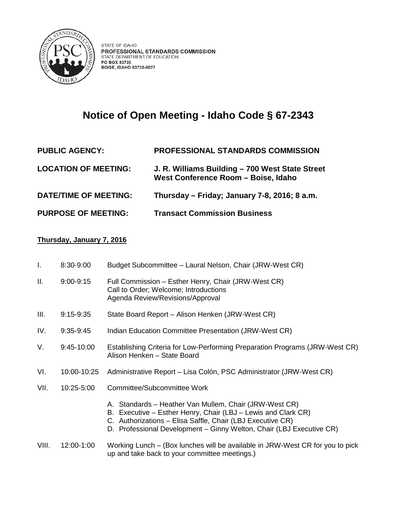

## **Notice of Open Meeting - Idaho Code § 67-2343**

## **PUBLIC AGENCY: PROFESSIONAL STANDARDS COMMISSION LOCATION OF MEETING: J. R. Williams Building – 700 West State Street West Conference Room – Boise, Idaho DATE/TIME OF MEETING: Thursday – Friday; January 7-8, 2016; 8 a.m. PURPOSE OF MEETING: Transact Commission Business**

## **Thursday, January 7, 2016**

| I.    | 8:30-9:00     | Budget Subcommittee - Laural Nelson, Chair (JRW-West CR)                                                                                                                                                                                                      |
|-------|---------------|---------------------------------------------------------------------------------------------------------------------------------------------------------------------------------------------------------------------------------------------------------------|
| ΙΙ.   | $9:00 - 9:15$ | Full Commission - Esther Henry, Chair (JRW-West CR)<br>Call to Order; Welcome; Introductions<br>Agenda Review/Revisions/Approval                                                                                                                              |
| III.  | $9:15-9:35$   | State Board Report - Alison Henken (JRW-West CR)                                                                                                                                                                                                              |
| IV.   | $9:35-9:45$   | Indian Education Committee Presentation (JRW-West CR)                                                                                                                                                                                                         |
| V.    | 9:45-10:00    | Establishing Criteria for Low-Performing Preparation Programs (JRW-West CR)<br>Alison Henken - State Board                                                                                                                                                    |
| VI.   | 10:00-10:25   | Administrative Report - Lisa Colón, PSC Administrator (JRW-West CR)                                                                                                                                                                                           |
| VII.  | 10:25-5:00    | Committee/Subcommittee Work                                                                                                                                                                                                                                   |
|       |               | A. Standards - Heather Van Mullem, Chair (JRW-West CR)<br>B. Executive – Esther Henry, Chair (LBJ – Lewis and Clark CR)<br>C. Authorizations - Elisa Saffle, Chair (LBJ Executive CR)<br>D. Professional Development - Ginny Welton, Chair (LBJ Executive CR) |
| VIII. | 12:00-1:00    | Working Lunch – (Box lunches will be available in JRW-West CR for you to pick<br>up and take back to your committee meetings.)                                                                                                                                |